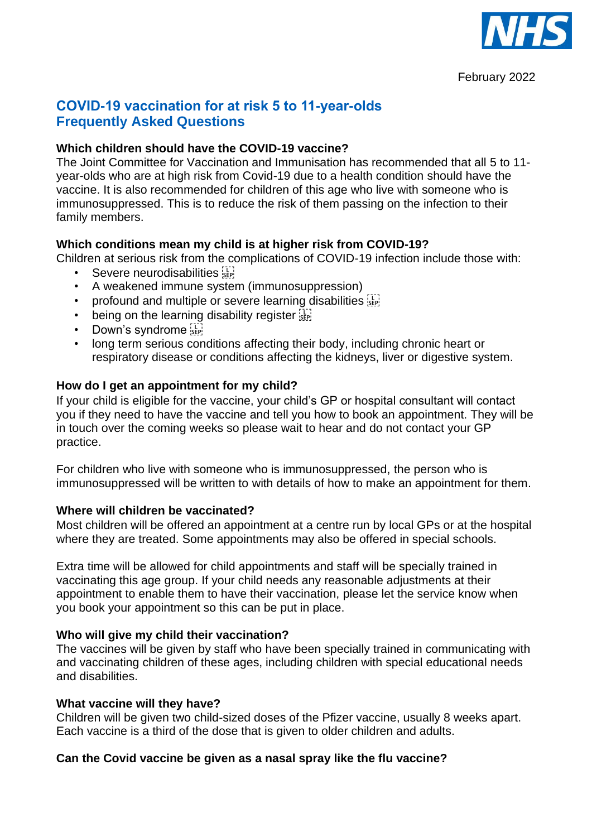

# **COVID-19 vaccination for at risk 5 to 11-year-olds Frequently Asked Questions**

#### **Which children should have the COVID-19 vaccine?**

The Joint Committee for Vaccination and Immunisation has recommended that all 5 to 11 year-olds who are at high risk from Covid-19 due to a health condition should have the vaccine. It is also recommended for children of this age who live with someone who is immunosuppressed. This is to reduce the risk of them passing on the infection to their family members.

## **Which conditions mean my child is at higher risk from COVID-19?**

Children at serious risk from the complications of COVID-19 infection include those with:

- Severe neurodisabilities  $\frac{1}{100}$
- A weakened immune system (immunosuppression)
- profound and multiple or severe learning disabilities
- being on the learning disability register  $\frac{1}{3}$
- Down's syndrome  $\frac{1}{35}$
- long term serious conditions affecting their body, including chronic heart or respiratory disease or conditions affecting the kidneys, liver or digestive system.

## **How do I get an appointment for my child?**

If your child is eligible for the vaccine, your child's GP or hospital consultant will contact you if they need to have the vaccine and tell you how to book an appointment. They will be in touch over the coming weeks so please wait to hear and do not contact your GP practice.

For children who live with someone who is immunosuppressed, the person who is immunosuppressed will be written to with details of how to make an appointment for them.

## **Where will children be vaccinated?**

Most children will be offered an appointment at a centre run by local GPs or at the hospital where they are treated. Some appointments may also be offered in special schools.

Extra time will be allowed for child appointments and staff will be specially trained in vaccinating this age group. If your child needs any reasonable adjustments at their appointment to enable them to have their vaccination, please let the service know when you book your appointment so this can be put in place.

## **Who will give my child their vaccination?**

The vaccines will be given by staff who have been specially trained in communicating with and vaccinating children of these ages, including children with special educational needs and disabilities.

#### **What vaccine will they have?**

Children will be given two child-sized doses of the Pfizer vaccine, usually 8 weeks apart. Each vaccine is a third of the dose that is given to older children and adults.

## **Can the Covid vaccine be given as a nasal spray like the flu vaccine?**